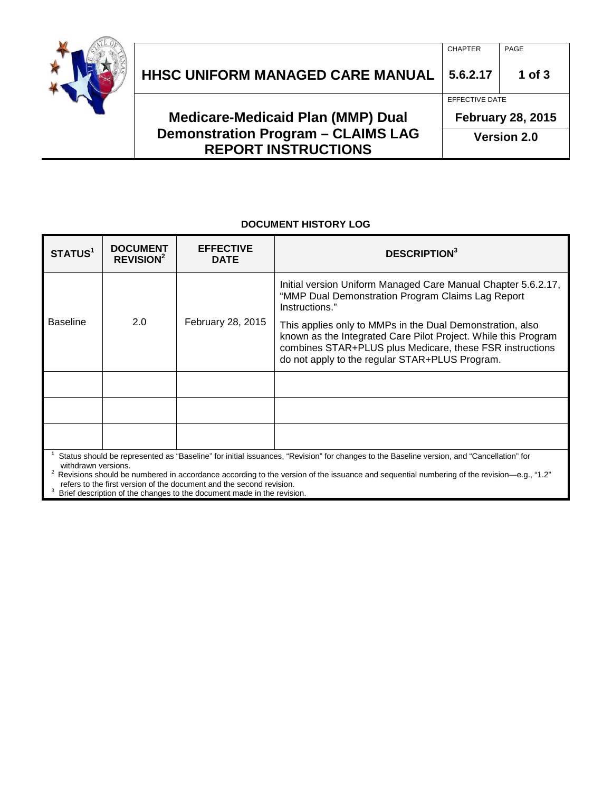

| <b>Demonstration Program - CLAIMS LAG</b> | <b>Version 2.0</b>                         |            |
|-------------------------------------------|--------------------------------------------|------------|
| <b>Medicare-Medicaid Plan (MMP) Dual</b>  | EFFECTIVE DATE<br><b>February 28, 2015</b> |            |
|                                           |                                            |            |
| HHSC UNIFORM MANAGED CARE MANUAL          | 5.6.2.17                                   | $1$ of $3$ |
|                                           | <b>CHAPTER</b>                             | PAGE       |

**Version 2.0**

#### **DOCUMENT HISTORY LOG**

**REPORT INSTRUCTIONS**

| STATUS <sup>1</sup>                                                                                                                                                                                                                                                                                                                                                                 | <b>DOCUMENT</b><br>REVISION <sup>2</sup> | <b>EFFECTIVE</b><br><b>DATE</b> | <b>DESCRIPTION</b> <sup>3</sup>                                                                                                                                                                                                           |  |
|-------------------------------------------------------------------------------------------------------------------------------------------------------------------------------------------------------------------------------------------------------------------------------------------------------------------------------------------------------------------------------------|------------------------------------------|---------------------------------|-------------------------------------------------------------------------------------------------------------------------------------------------------------------------------------------------------------------------------------------|--|
|                                                                                                                                                                                                                                                                                                                                                                                     | 2.0                                      | February 28, 2015               | Initial version Uniform Managed Care Manual Chapter 5.6.2.17,<br>"MMP Dual Demonstration Program Claims Lag Report<br>Instructions."                                                                                                      |  |
| Baseline                                                                                                                                                                                                                                                                                                                                                                            |                                          |                                 | This applies only to MMPs in the Dual Demonstration, also<br>known as the Integrated Care Pilot Project. While this Program<br>combines STAR+PLUS plus Medicare, these FSR instructions<br>do not apply to the regular STAR+PLUS Program. |  |
|                                                                                                                                                                                                                                                                                                                                                                                     |                                          |                                 |                                                                                                                                                                                                                                           |  |
|                                                                                                                                                                                                                                                                                                                                                                                     |                                          |                                 |                                                                                                                                                                                                                                           |  |
|                                                                                                                                                                                                                                                                                                                                                                                     |                                          |                                 |                                                                                                                                                                                                                                           |  |
| Status should be represented as "Baseline" for initial issuances, "Revision" for changes to the Baseline version, and "Cancellation" for<br>withdrawn versions.<br>Revisions should be numbered in accordance according to the version of the issuance and sequential numbering of the revision—e.g., "1.2"<br>refers to the first version of the document and the second revision. |                                          |                                 |                                                                                                                                                                                                                                           |  |

refers to the first version of the document and the second revision.<br><sup>3</sup> Brief description of the changes to the document made in the revision.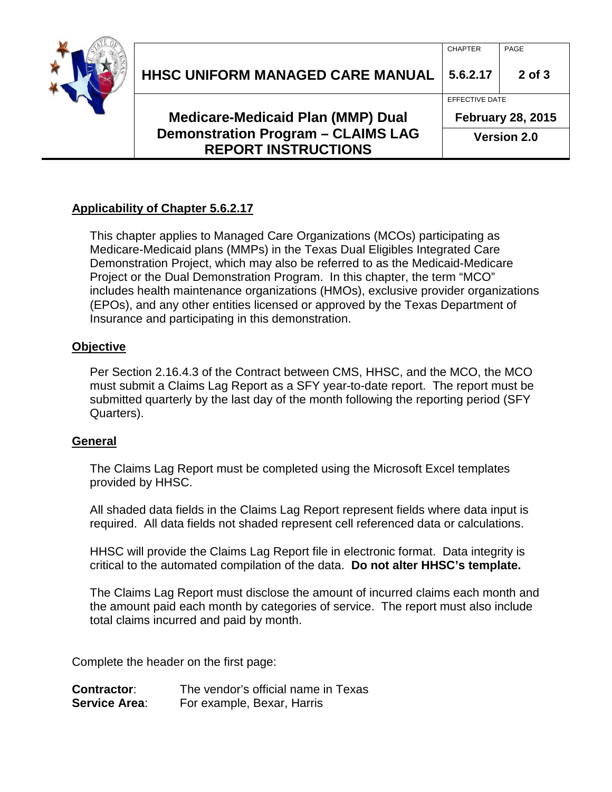

| <b>Medicare-Medicaid Plan (MMP) Dual</b><br><b>Demonstration Program - CLAIMS LAG</b> |                |                          |  |
|---------------------------------------------------------------------------------------|----------------|--------------------------|--|
|                                                                                       |                | <b>February 28, 2015</b> |  |
|                                                                                       | EFFECTIVE DATE |                          |  |
| <b>HHSC UNIFORM MANAGED CARE MANUAL</b>                                               | 5.6.2.17       | $2$ of $3$               |  |
|                                                                                       | <b>CHAPTER</b> | PAGE                     |  |

## **Applicability of Chapter 5.6.2.17**

This chapter applies to Managed Care Organizations (MCOs) participating as Medicare-Medicaid plans (MMPs) in the Texas Dual Eligibles Integrated Care Demonstration Project, which may also be referred to as the Medicaid-Medicare Project or the Dual Demonstration Program. In this chapter, the term "MCO" includes health maintenance organizations (HMOs), exclusive provider organizations (EPOs), and any other entities licensed or approved by the Texas Department of Insurance and participating in this demonstration.

**REPORT INSTRUCTIONS**

### **Objective**

Per Section 2.16.4.3 of the Contract between CMS, HHSC, and the MCO, the MCO must submit a Claims Lag Report as a SFY year-to-date report. The report must be submitted quarterly by the last day of the month following the reporting period (SFY Quarters).

### **General**

The Claims Lag Report must be completed using the Microsoft Excel templates provided by HHSC.

All shaded data fields in the Claims Lag Report represent fields where data input is required. All data fields not shaded represent cell referenced data or calculations.

HHSC will provide the Claims Lag Report file in electronic format. Data integrity is critical to the automated compilation of the data. **Do not alter HHSC's template.**

The Claims Lag Report must disclose the amount of incurred claims each month and the amount paid each month by categories of service. The report must also include total claims incurred and paid by month.

Complete the header on the first page:

| <b>Contractor:</b>   | The vendor's official name in Texas |
|----------------------|-------------------------------------|
| <b>Service Area:</b> | For example, Bexar, Harris          |